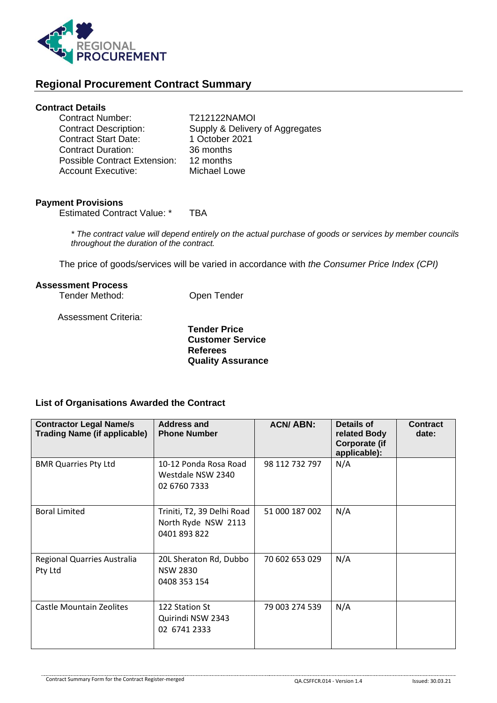

# **Regional Procurement Contract Summary**

## **Contract Details**

| <b>Contract Number:</b>             | <b>T212122NAMOI</b>             |
|-------------------------------------|---------------------------------|
| <b>Contract Description:</b>        | Supply & Delivery of Aggregates |
| <b>Contract Start Date:</b>         | 1 October 2021                  |
| <b>Contract Duration:</b>           | 36 months                       |
| <b>Possible Contract Extension:</b> | 12 months                       |
| Account Executive:                  | Michael Lowe                    |

#### **Payment Provisions**

Estimated Contract Value: \* TBA

*\* The contract value will depend entirely on the actual purchase of goods or services by member councils throughout the duration of the contract.*

The price of goods/services will be varied in accordance with *the Consumer Price Index (CPI)*

#### **Assessment Process**

Tender Method: Open Tender

Assessment Criteria:

**Tender Price Customer Service Referees Quality Assurance** 

### **List of Organisations Awarded the Contract**

| <b>Contractor Legal Name/s</b><br><b>Trading Name (if applicable)</b> | <b>Address and</b><br><b>Phone Number</b>                         | <b>ACN/ABN:</b> | Details of<br>related Body<br>Corporate (if<br>applicable): | <b>Contract</b><br>date: |
|-----------------------------------------------------------------------|-------------------------------------------------------------------|-----------------|-------------------------------------------------------------|--------------------------|
| <b>BMR Quarries Pty Ltd</b>                                           | 10-12 Ponda Rosa Road<br>Westdale NSW 2340<br>02 6760 7333        | 98 112 732 797  | N/A                                                         |                          |
| <b>Boral Limited</b>                                                  | Triniti, T2, 39 Delhi Road<br>North Ryde NSW 2113<br>0401 893 822 | 51 000 187 002  | N/A                                                         |                          |
| Regional Quarries Australia<br>Pty Ltd                                | 20L Sheraton Rd, Dubbo<br><b>NSW 2830</b><br>0408 353 154         | 70 602 653 029  | N/A                                                         |                          |
| Castle Mountain Zeolites                                              | 122 Station St<br>Quirindi NSW 2343<br>02 6741 2333               | 79 003 274 539  | N/A                                                         |                          |